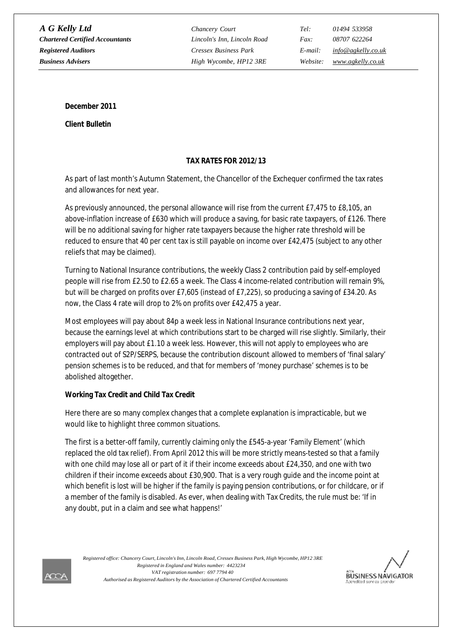*A G Kelly Ltd Chancery Court Tel: 01494 533958 Chartered Certified Accountants Lincoln's Inn, Lincoln Road Fax: 08707 622264 Registered Auditors Cressex Business Park E-mail: [info@agkelly.co.uk](mailto:info@agkelly.co.uk) Business Advisers High Wycombe, HP12 3RE Website: [www.agkelly.co.uk](http://www.agkelly.co.uk)*

**December 2011**

**Client Bulletin**

# **TAX RATES FOR 2012/13**

As part of last month's Autumn Statement, the Chancellor of the Exchequer confirmed the tax rates and allowances for next year.

As previously announced, the personal allowance will rise from the current £7,475 to £8,105, an above-inflation increase of £630 which will produce a saving, for basic rate taxpayers, of £126. There will be no additional saving for higher rate taxpayers because the higher rate threshold will be reduced to ensure that 40 per cent tax is still payable on income over £42,475 (subject to any other reliefs that may be claimed).

Turning to National Insurance contributions, the weekly Class 2 contribution paid by self-employed people will rise from £2.50 to £2.65 a week. The Class 4 income-related contribution will remain 9%, but will be charged on profits over £7,605 (instead of £7,225), so producing a saving of £34.20. As now, the Class 4 rate will drop to 2% on profits over £42,475 a year.

Most employees will pay about 84p a week less in National Insurance contributions next year, because the earnings level at which contributions start to be charged will rise slightly. Similarly, their employers will pay about £1.10 a week less. However, this will not apply to employees who are contracted out of S2P/SERPS, because the contribution discount allowed to members of 'final salary' pension schemes is to be reduced, and that for members of 'money purchase' schemes is to be abolished altogether.

# **Working Tax Credit and Child Tax Credit**

Here there are so many complex changes that a complete explanation is impracticable, but we would like to highlight three common situations.

The first is a better-off family, currently claiming only the £545-a-year 'Family Element' (which replaced the old tax relief). From April 2012 this will be more strictly means-tested so that a family with one child may lose all or part of it if their income exceeds about £24,350, and one with two children if their income exceeds about £30,900. That is a very rough guide and the income point at which benefit is lost will be higher if the family is paying pension contributions, or for childcare, or if a member of the family is disabled. As ever, when dealing with Tax Credits, the rule must be: 'If in any doubt, put in a claim and see what happens!'

*VAT registration number: 697 7794 40 Authorised as Registered Auditors by the Association of Chartered Certified Accountants Registered in England and Wales number: 4423234 Registered office: Chancery Court, Lincoln's Inn, Lincoln Road, Cressex Business Park, High Wycombe, HP12 3RE*



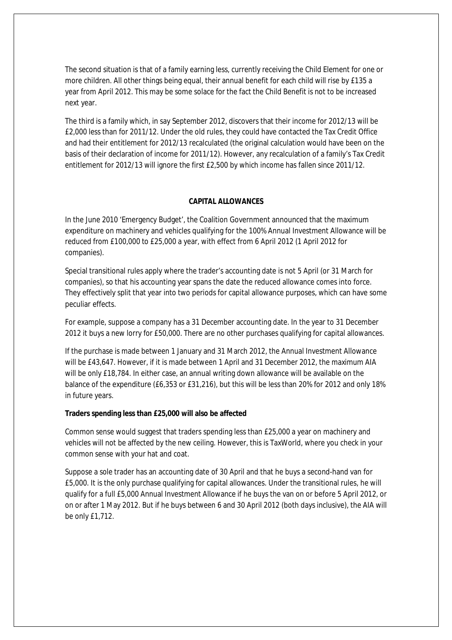The second situation is that of a family earning less, currently receiving the Child Element for one or more children. All other things being equal, their annual benefit for each child will rise by £135 a year from April 2012. This may be some solace for the fact the Child Benefit is not to be increased next year.

The third is a family which, in say September 2012, discovers that their income for 2012/13 will be £2,000 less than for 2011/12. Under the old rules, they could have contacted the Tax Credit Office and had their entitlement for 2012/13 recalculated (the original calculation would have been on the basis of their declaration of income for 2011/12). However, any recalculation of a family's Tax Credit entitlement for 2012/13 will ignore the first £2,500 by which income has fallen since 2011/12.

#### **CAPITAL ALLOWANCES**

In the June 2010 'Emergency Budget', the Coalition Government announced that the maximum expenditure on machinery and vehicles qualifying for the 100% Annual Investment Allowance will be reduced from £100,000 to £25,000 a year, with effect from 6 April 2012 (1 April 2012 for companies).

Special transitional rules apply where the trader's accounting date is not 5 April (or 31 March for companies), so that his accounting year spans the date the reduced allowance comes into force. They effectively split that year into two periods for capital allowance purposes, which can have some peculiar effects.

For example, suppose a company has a 31 December accounting date. In the year to 31 December 2012 it buys a new lorry for £50,000. There are no other purchases qualifying for capital allowances.

If the purchase is made between 1 January and 31 March 2012, the Annual Investment Allowance will be £43,647. However, if it is made between 1 April and 31 December 2012, the maximum AIA will be only £18,784. In either case, an annual writing down allowance will be available on the balance of the expenditure (£6,353 or £31,216), but this will be less than 20% for 2012 and only 18% in future years.

**Traders spending less than £25,000 will also be affected**

Common sense would suggest that traders spending less than £25,000 a year on machinery and vehicles will not be affected by the new ceiling. However, this is TaxWorld, where you check in your common sense with your hat and coat.

Suppose a sole trader has an accounting date of 30 April and that he buys a second-hand van for £5,000. It is the only purchase qualifying for capital allowances. Under the transitional rules, he will qualify for a full £5,000 Annual Investment Allowance if he buys the van on or before 5 April 2012, or on or after 1 May 2012. But if he buys between 6 and 30 April 2012 (both days inclusive), the AIA will be only £1,712.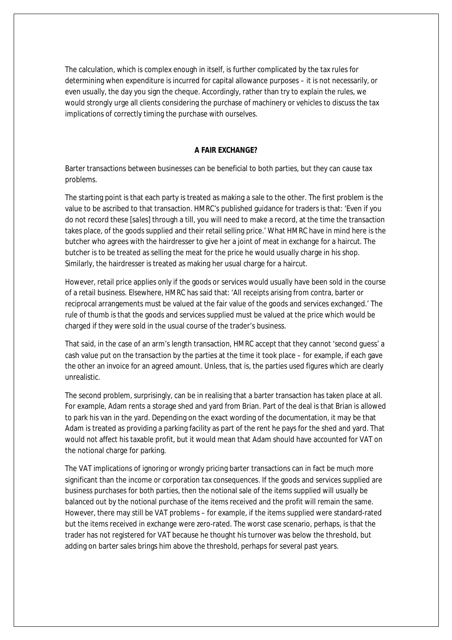The calculation, which is complex enough in itself, is further complicated by the tax rules for determining when expenditure is incurred for capital allowance purposes – it is not necessarily, or even usually, the day you sign the cheque. Accordingly, rather than try to explain the rules, we would strongly urge all clients considering the purchase of machinery or vehicles to discuss the tax implications of correctly timing the purchase with ourselves.

## **A FAIR EXCHANGE?**

Barter transactions between businesses can be beneficial to both parties, but they can cause tax problems.

The starting point is that each party is treated as making a sale to the other. The first problem is the value to be ascribed to that transaction. HMRC's published guidance for traders is that: 'Even if you do not record these [*sales*] through a till, you will need to make a record, at the time the transaction takes place, of the goods supplied and their retail selling price.' What HMRC have in mind here is the butcher who agrees with the hairdresser to give her a joint of meat in exchange for a haircut. The butcher is to be treated as selling the meat for the price he would usually charge in his shop. Similarly, the hairdresser is treated as making her usual charge for a haircut.

However, retail price applies only if the goods or services would usually have been sold in the course of a retail business. Elsewhere, HMRC has said that: 'All receipts arising from contra, barter or reciprocal arrangements must be valued at the fair value of the goods and services exchanged.' The rule of thumb is that the goods and services supplied must be valued at the price which would be charged if they were sold in the usual course of the trader's business.

That said, in the case of an arm's length transaction, HMRC accept that they cannot 'second guess' a cash value put on the transaction by the parties at the time it took place – for example, if each gave the other an invoice for an agreed amount. Unless, that is, the parties used figures which are clearly unrealistic.

The second problem, surprisingly, can be in realising that a barter transaction has taken place at all. For example, Adam rents a storage shed and yard from Brian. Part of the deal is that Brian is allowed to park his van in the yard. Depending on the exact wording of the documentation, it may be that Adam is treated as providing a parking facility as part of the rent he pays for the shed and yard. That would not affect his taxable profit, but it would mean that Adam should have accounted for VAT on the notional charge for parking.

The VAT implications of ignoring or wrongly pricing barter transactions can in fact be much more significant than the income or corporation tax consequences. If the goods and services supplied are business purchases for both parties, then the notional sale of the items supplied will usually be balanced out by the notional purchase of the items received and the profit will remain the same. However, there may still be VAT problems – for example, if the items supplied were standard-rated but the items received in exchange were zero-rated. The worst case scenario, perhaps, is that the trader has not registered for VAT because he thought his turnover was below the threshold, but adding on barter sales brings him above the threshold, perhaps for several past years.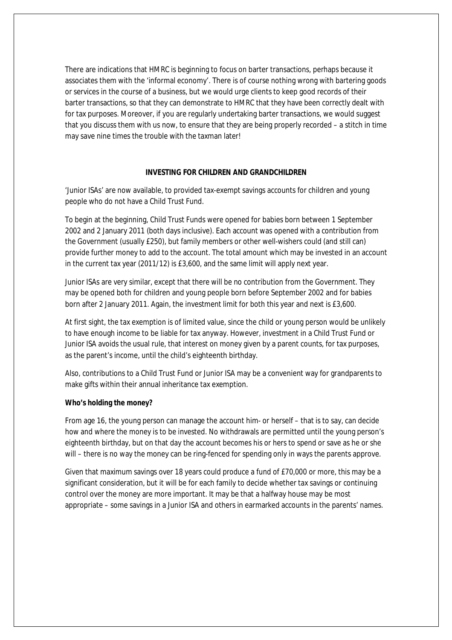There are indications that HMRC is beginning to focus on barter transactions, perhaps because it associates them with the 'informal economy'. There is of course nothing wrong with bartering goods or services in the course of a business, but we would urge clients to keep good records of their barter transactions, so that they can demonstrate to HMRC that they have been correctly dealt with for tax purposes. Moreover, if you are regularly undertaking barter transactions, we would suggest that you discuss them with us now, to ensure that they are being properly recorded – a stitch in time may save nine times the trouble with the taxman later!

#### **INVESTING FOR CHILDREN AND GRANDCHILDREN**

'Junior ISAs' are now available, to provided tax-exempt savings accounts for children and young people who do not have a Child Trust Fund.

To begin at the beginning, Child Trust Funds were opened for babies born between 1 September 2002 and 2 January 2011 (both days inclusive). Each account was opened with a contribution from the Government (usually £250), but family members or other well-wishers could (and still can) provide further money to add to the account. The total amount which may be invested in an account in the current tax year (2011/12) is £3,600, and the same limit will apply next year.

Junior ISAs are very similar, except that there will be no contribution from the Government. They may be opened both for children and young people born before September 2002 and for babies born after 2 January 2011. Again, the investment limit for both this year and next is £3,600.

At first sight, the tax exemption is of limited value, since the child or young person would be unlikely to have enough income to be liable for tax anyway. However, investment in a Child Trust Fund or Junior ISA avoids the usual rule, that interest on money given by a parent counts, for tax purposes, as the parent's income, until the child's eighteenth birthday.

Also, contributions to a Child Trust Fund or Junior ISA may be a convenient way for grandparents to make gifts within their annual inheritance tax exemption.

#### **Who's holding the money?**

From age 16, the young person can manage the account him- or herself – that is to say, can decide how and where the money is to be invested. No withdrawals are permitted until the young person's eighteenth birthday, but on that day the account becomes his or hers to spend or save as he or she will – there is no way the money can be ring-fenced for spending only in ways the parents approve.

Given that maximum savings over 18 years could produce a fund of £70,000 or more, this may be a significant consideration, but it will be for each family to decide whether tax savings or continuing control over the money are more important. It may be that a halfway house may be most appropriate – some savings in a Junior ISA and others in earmarked accounts in the parents' names.